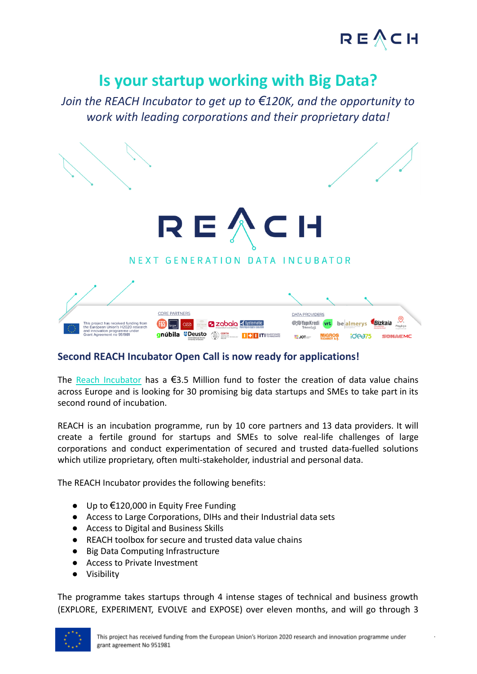

.

## **Is your startup working with Big Data?**

*Join the REACH Incubator to get up to €120K, and the opportunity to work with leading corporations and their proprietary data!*



### **Second REACH Incubator Open Call is now ready for applications!**

The Reach [Incubator](http://www.reach-incubator.eu/) has a  $\epsilon$ 3.5 Million fund to foster the creation of data value chains across Europe and is looking for 30 promising big data startups and SMEs to take part in its second round of incubation.

REACH is an incubation programme, run by 10 core partners and 13 data providers. It will create a fertile ground for startups and SMEs to solve real-life challenges of large corporations and conduct experimentation of secured and trusted data-fuelled solutions which utilize proprietary, often multi-stakeholder, industrial and personal data.

The REACH Incubator provides the following benefits:

- Up to €120,000 in Equity Free Funding
- Access to Large Corporations, DIHs and their Industrial data sets
- Access to Digital and Business Skills
- REACH toolbox for secure and trusted data value chains
- Big Data Computing Infrastructure
- Access to Private Investment
- Visibility

The programme takes startups through 4 intense stages of technical and business growth (EXPLORE, EXPERIMENT, EVOLVE and EXPOSE) over eleven months, and will go through 3